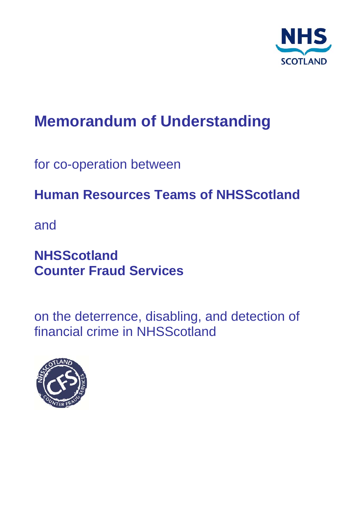

# **Memorandum of Understanding**

for co-operation between

# **Human Resources Teams of NHSScotland**

and

# **NHSScotland Counter Fraud Services**

on the deterrence, disabling, and detection of financial crime in NHSScotland

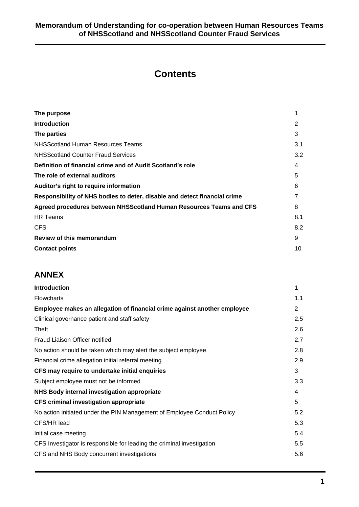# **Contents**

| The purpose                                                               | 1   |
|---------------------------------------------------------------------------|-----|
| <b>Introduction</b>                                                       | 2   |
| The parties                                                               | 3   |
| NHSScotland Human Resources Teams                                         | 3.1 |
| <b>NHSScotland Counter Fraud Services</b>                                 | 3.2 |
| Definition of financial crime and of Audit Scotland's role                | 4   |
| The role of external auditors                                             | 5   |
| Auditor's right to require information                                    | 6   |
| Responsibility of NHS bodies to deter, disable and detect financial crime |     |
| Agreed procedures between NHSScotland Human Resources Teams and CFS       | 8   |
| <b>HR</b> Teams                                                           | 8.1 |
| <b>CFS</b>                                                                | 8.2 |
| Review of this memorandum                                                 | 9   |
| <b>Contact points</b>                                                     | 10  |

# **ANNEX**

| <b>Introduction</b>                                                      | 1   |
|--------------------------------------------------------------------------|-----|
| <b>Flowcharts</b>                                                        | 1.1 |
| Employee makes an allegation of financial crime against another employee |     |
| Clinical governance patient and staff safety                             | 2.5 |
| Theft                                                                    | 2.6 |
| Fraud Liaison Officer notified                                           | 2.7 |
| No action should be taken which may alert the subject employee           | 2.8 |
| Financial crime allegation initial referral meeting                      | 2.9 |
| CFS may require to undertake initial enquiries                           |     |
| Subject employee must not be informed                                    | 3.3 |
| NHS Body internal investigation appropriate                              |     |
| <b>CFS criminal investigation appropriate</b>                            |     |
| No action initiated under the PIN Management of Employee Conduct Policy  | 5.2 |
| CFS/HR lead                                                              | 5.3 |
| Initial case meeting                                                     | 5.4 |
| CFS Investigator is responsible for leading the criminal investigation   | 5.5 |
| CFS and NHS Body concurrent investigations                               | 5.6 |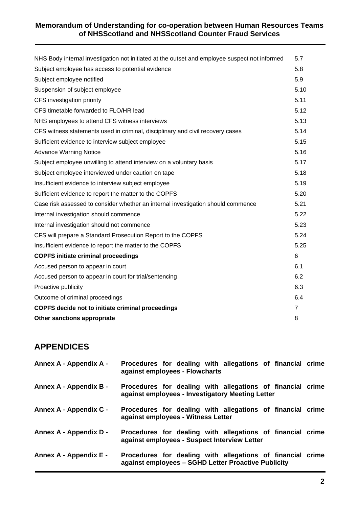| NHS Body internal investigation not initiated at the outset and employee suspect not informed | 5.7            |  |
|-----------------------------------------------------------------------------------------------|----------------|--|
| Subject employee has access to potential evidence                                             |                |  |
| Subject employee notified                                                                     | 5.9            |  |
| Suspension of subject employee                                                                | 5.10           |  |
| CFS investigation priority                                                                    | 5.11           |  |
| CFS timetable forwarded to FLO/HR lead                                                        | 5.12           |  |
| NHS employees to attend CFS witness interviews                                                | 5.13           |  |
| CFS witness statements used in criminal, disciplinary and civil recovery cases                | 5.14           |  |
| Sufficient evidence to interview subject employee                                             | 5.15           |  |
| <b>Advance Warning Notice</b>                                                                 | 5.16           |  |
| Subject employee unwilling to attend interview on a voluntary basis                           | 5.17           |  |
| Subject employee interviewed under caution on tape                                            | 5.18           |  |
| Insufficient evidence to interview subject employee                                           | 5.19           |  |
| Sufficient evidence to report the matter to the COPFS                                         | 5.20           |  |
| Case risk assessed to consider whether an internal investigation should commence              | 5.21           |  |
| Internal investigation should commence                                                        | 5.22           |  |
| Internal investigation should not commence                                                    | 5.23           |  |
| CFS will prepare a Standard Prosecution Report to the COPFS                                   | 5.24           |  |
| Insufficient evidence to report the matter to the COPFS                                       | 5.25           |  |
| <b>COPFS initiate criminal proceedings</b>                                                    | 6              |  |
| Accused person to appear in court                                                             | 6.1            |  |
| Accused person to appear in court for trial/sentencing                                        | 6.2            |  |
| Proactive publicity                                                                           | 6.3            |  |
| Outcome of criminal proceedings                                                               | 6.4            |  |
| COPFS decide not to initiate criminal proceedings                                             | $\overline{7}$ |  |
| Other sanctions appropriate                                                                   |                |  |

# **APPENDICES**

| Annex A - Appendix A - | Procedures for dealing with allegations of financial crime<br>against employees - Flowcharts                      |  |
|------------------------|-------------------------------------------------------------------------------------------------------------------|--|
| Annex A - Appendix B - | Procedures for dealing with allegations of financial crime<br>against employees - Investigatory Meeting Letter    |  |
| Annex A - Appendix C - | Procedures for dealing with allegations of financial crime<br>against employees - Witness Letter                  |  |
| Annex A - Appendix D - | Procedures for dealing with allegations of financial crime<br>against employees - Suspect Interview Letter        |  |
| Annex A - Appendix E - | Procedures for dealing with allegations of financial crime<br>against employees - SGHD Letter Proactive Publicity |  |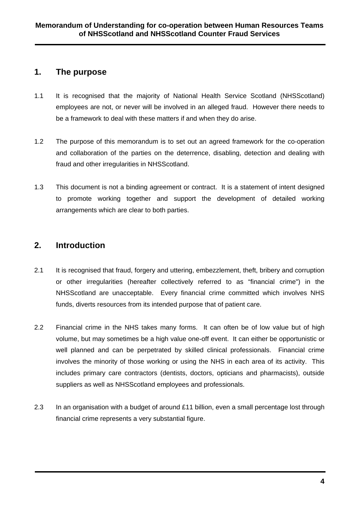# **1. The purpose**

- 1.1 It is recognised that the majority of National Health Service Scotland (NHSScotland) employees are not, or never will be involved in an alleged fraud. However there needs to be a framework to deal with these matters if and when they do arise.
- 1.2 The purpose of this memorandum is to set out an agreed framework for the co-operation and collaboration of the parties on the deterrence, disabling, detection and dealing with fraud and other irregularities in NHSScotland.
- 1.3 This document is not a binding agreement or contract. It is a statement of intent designed to promote working together and support the development of detailed working arrangements which are clear to both parties.

# **2. Introduction**

- 2.1 It is recognised that fraud, forgery and uttering, embezzlement, theft, bribery and corruption or other irregularities (hereafter collectively referred to as "financial crime") in the NHSScotland are unacceptable. Every financial crime committed which involves NHS funds, diverts resources from its intended purpose that of patient care.
- 2.2 Financial crime in the NHS takes many forms. It can often be of low value but of high volume, but may sometimes be a high value one-off event. It can either be opportunistic or well planned and can be perpetrated by skilled clinical professionals. Financial crime involves the minority of those working or using the NHS in each area of its activity. This includes primary care contractors (dentists, doctors, opticians and pharmacists), outside suppliers as well as NHSScotland employees and professionals.
- 2.3 In an organisation with a budget of around £11 billion, even a small percentage lost through financial crime represents a very substantial figure.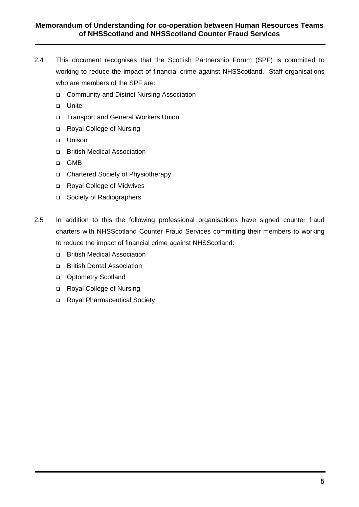- 2.4 This document recognises that the Scottish Partnership Forum (SPF) is committed to working to reduce the impact of financial crime against NHSScotland. Staff organisations who are members of the SPF are:
	- □ Community and District Nursing Association
	- u Unite
	- □ Transport and General Workers Union
	- Royal College of Nursing
	- o Unison
	- British Medical Association
	- GMB
	- □ Chartered Society of Physiotherapy
	- Royal College of Midwives
	- □ Society of Radiographers
- 2.5 In addition to this the following professional organisations have signed counter fraud charters with NHSScotland Counter Fraud Services committing their members to working to reduce the impact of financial crime against NHSScotland:
	- □ British Medical Association
	- British Dental Association
	- **D** Optometry Scotland
	- □ Royal College of Nursing
	- Royal Pharmaceutical Society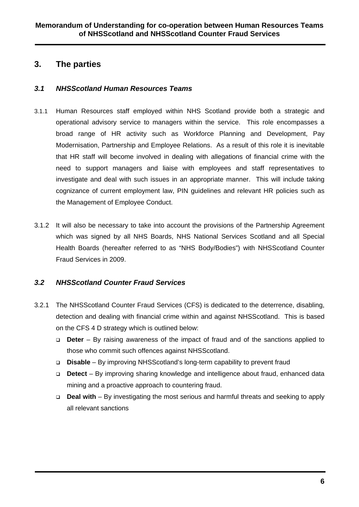# **3. The parties**

#### *3.1 NHSScotland Human Resources Teams*

- 3.1.1 Human Resources staff employed within NHS Scotland provide both a strategic and operational advisory service to managers within the service. This role encompasses a broad range of HR activity such as Workforce Planning and Development, Pay Modernisation, Partnership and Employee Relations. As a result of this role it is inevitable that HR staff will become involved in dealing with allegations of financial crime with the need to support managers and liaise with employees and staff representatives to investigate and deal with such issues in an appropriate manner. This will include taking cognizance of current employment law, PIN guidelines and relevant HR policies such as the Management of Employee Conduct.
- 3.1.2 It will also be necessary to take into account the provisions of the Partnership Agreement which was signed by all NHS Boards, NHS National Services Scotland and all Special Health Boards (hereafter referred to as "NHS Body/Bodies") with NHSScotland Counter Fraud Services in 2009.

#### *3.2 NHSScotland Counter Fraud Services*

- 3.2.1 The NHSScotland Counter Fraud Services (CFS) is dedicated to the deterrence, disabling, detection and dealing with financial crime within and against NHSScotland. This is based on the CFS 4 D strategy which is outlined below:
	- **Deter** By raising awareness of the impact of fraud and of the sanctions applied to those who commit such offences against NHSScotland.
	- **Disable** By improving NHSScotland's long-term capability to prevent fraud
	- **Detect** By improving sharing knowledge and intelligence about fraud, enhanced data mining and a proactive approach to countering fraud.
	- **Deal with** By investigating the most serious and harmful threats and seeking to apply all relevant sanctions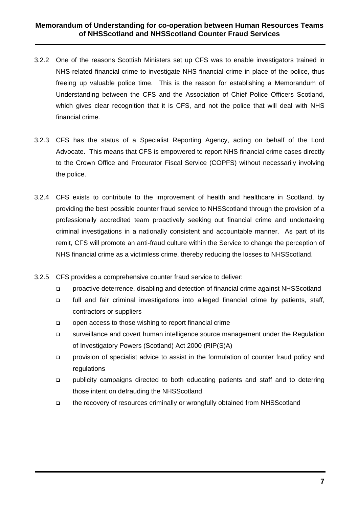- 3.2.2 One of the reasons Scottish Ministers set up CFS was to enable investigators trained in NHS-related financial crime to investigate NHS financial crime in place of the police, thus freeing up valuable police time. This is the reason for establishing a Memorandum of Understanding between the CFS and the Association of Chief Police Officers Scotland, which gives clear recognition that it is CFS, and not the police that will deal with NHS financial crime.
- 3.2.3 CFS has the status of a Specialist Reporting Agency, acting on behalf of the Lord Advocate. This means that CFS is empowered to report NHS financial crime cases directly to the Crown Office and Procurator Fiscal Service (COPFS) without necessarily involving the police.
- 3.2.4 CFS exists to contribute to the improvement of health and healthcare in Scotland, by providing the best possible counter fraud service to NHSScotland through the provision of a professionally accredited team proactively seeking out financial crime and undertaking criminal investigations in a nationally consistent and accountable manner. As part of its remit, CFS will promote an anti-fraud culture within the Service to change the perception of NHS financial crime as a victimless crime, thereby reducing the losses to NHSScotland.
- 3.2.5 CFS provides a comprehensive counter fraud service to deliver:
	- proactive deterrence, disabling and detection of financial crime against NHSScotland
	- full and fair criminal investigations into alleged financial crime by patients, staff, contractors or suppliers
	- open access to those wishing to report financial crime
	- □ surveillance and covert human intelligence source management under the Regulation of Investigatory Powers (Scotland) Act 2000 (RIP(S)A)
	- provision of specialist advice to assist in the formulation of counter fraud policy and regulations
	- publicity campaigns directed to both educating patients and staff and to deterring those intent on defrauding the NHSScotland
	- the recovery of resources criminally or wrongfully obtained from NHSScotland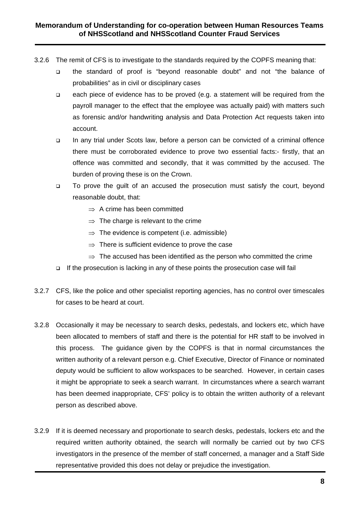- 3.2.6 The remit of CFS is to investigate to the standards required by the COPFS meaning that:
	- the standard of proof is "beyond reasonable doubt" and not "the balance of probabilities" as in civil or disciplinary cases
	- each piece of evidence has to be proved (e.g. a statement will be required from the payroll manager to the effect that the employee was actually paid) with matters such as forensic and/or handwriting analysis and Data Protection Act requests taken into account.
	- In any trial under Scots law, before a person can be convicted of a criminal offence there must be corroborated evidence to prove two essential facts:- firstly, that an offence was committed and secondly, that it was committed by the accused. The burden of proving these is on the Crown.
	- □ To prove the guilt of an accused the prosecution must satisfy the court, beyond reasonable doubt, that:
		- $\Rightarrow$  A crime has been committed
		- $\Rightarrow$  The charge is relevant to the crime
		- $\Rightarrow$  The evidence is competent (i.e. admissible)
		- $\Rightarrow$  There is sufficient evidence to prove the case
		- $\Rightarrow$  The accused has been identified as the person who committed the crime
	- $\Box$  If the prosecution is lacking in any of these points the prosecution case will fail
- 3.2.7 CFS, like the police and other specialist reporting agencies, has no control over timescales for cases to be heard at court.
- 3.2.8 Occasionally it may be necessary to search desks, pedestals, and lockers etc, which have been allocated to members of staff and there is the potential for HR staff to be involved in this process. The guidance given by the COPFS is that in normal circumstances the written authority of a relevant person e.g. Chief Executive, Director of Finance or nominated deputy would be sufficient to allow workspaces to be searched. However, in certain cases it might be appropriate to seek a search warrant. In circumstances where a search warrant has been deemed inappropriate, CFS' policy is to obtain the written authority of a relevant person as described above.
- 3.2.9 If it is deemed necessary and proportionate to search desks, pedestals, lockers etc and the required written authority obtained, the search will normally be carried out by two CFS investigators in the presence of the member of staff concerned, a manager and a Staff Side representative provided this does not delay or prejudice the investigation.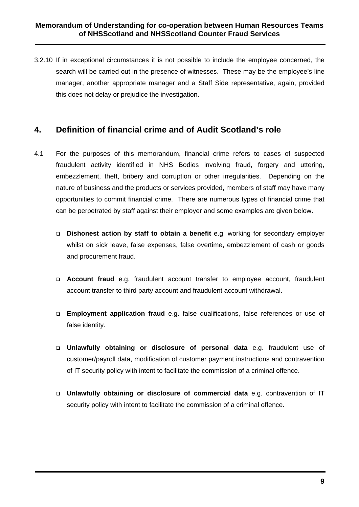3.2.10 If in exceptional circumstances it is not possible to include the employee concerned, the search will be carried out in the presence of witnesses. These may be the employee's line manager, another appropriate manager and a Staff Side representative, again, provided this does not delay or prejudice the investigation.

# **4. Definition of financial crime and of Audit Scotland's role**

- 4.1 For the purposes of this memorandum, financial crime refers to cases of suspected fraudulent activity identified in NHS Bodies involving fraud, forgery and uttering, embezzlement, theft, bribery and corruption or other irregularities. Depending on the nature of business and the products or services provided, members of staff may have many opportunities to commit financial crime. There are numerous types of financial crime that can be perpetrated by staff against their employer and some examples are given below.
	- **Dishonest action by staff to obtain a benefit** e.g. working for secondary employer whilst on sick leave, false expenses, false overtime, embezzlement of cash or goods and procurement fraud.
	- **Account fraud** e.g. fraudulent account transfer to employee account, fraudulent account transfer to third party account and fraudulent account withdrawal.
	- **Employment application fraud** e.g. false qualifications, false references or use of false identity.
	- **Unlawfully obtaining or disclosure of personal data** e.g. fraudulent use of customer/payroll data, modification of customer payment instructions and contravention of IT security policy with intent to facilitate the commission of a criminal offence.
	- **Unlawfully obtaining or disclosure of commercial data** e.g. contravention of IT security policy with intent to facilitate the commission of a criminal offence.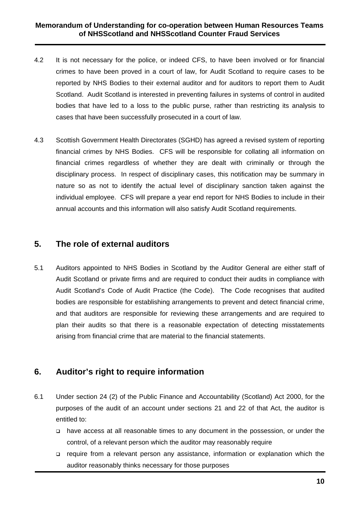- 4.2 It is not necessary for the police, or indeed CFS, to have been involved or for financial crimes to have been proved in a court of law, for Audit Scotland to require cases to be reported by NHS Bodies to their external auditor and for auditors to report them to Audit Scotland. Audit Scotland is interested in preventing failures in systems of control in audited bodies that have led to a loss to the public purse, rather than restricting its analysis to cases that have been successfully prosecuted in a court of law.
- 4.3 Scottish Government Health Directorates (SGHD) has agreed a revised system of reporting financial crimes by NHS Bodies. CFS will be responsible for collating all information on financial crimes regardless of whether they are dealt with criminally or through the disciplinary process. In respect of disciplinary cases, this notification may be summary in nature so as not to identify the actual level of disciplinary sanction taken against the individual employee. CFS will prepare a year end report for NHS Bodies to include in their annual accounts and this information will also satisfy Audit Scotland requirements.

### **5. The role of external auditors**

5.1 Auditors appointed to NHS Bodies in Scotland by the Auditor General are either staff of Audit Scotland or private firms and are required to conduct their audits in compliance with Audit Scotland's Code of Audit Practice (the Code). The Code recognises that audited bodies are responsible for establishing arrangements to prevent and detect financial crime, and that auditors are responsible for reviewing these arrangements and are required to plan their audits so that there is a reasonable expectation of detecting misstatements arising from financial crime that are material to the financial statements.

# **6. Auditor's right to require information**

- 6.1 Under section 24 (2) of the Public Finance and Accountability (Scotland) Act 2000, for the purposes of the audit of an account under sections 21 and 22 of that Act, the auditor is entitled to:
	- have access at all reasonable times to any document in the possession, or under the control, of a relevant person which the auditor may reasonably require
	- require from a relevant person any assistance, information or explanation which the auditor reasonably thinks necessary for those purposes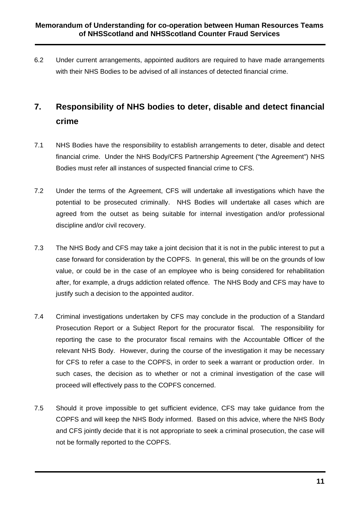6.2 Under current arrangements, appointed auditors are required to have made arrangements with their NHS Bodies to be advised of all instances of detected financial crime.

# **7. Responsibility of NHS bodies to deter, disable and detect financial crime**

- 7.1 NHS Bodies have the responsibility to establish arrangements to deter, disable and detect financial crime. Under the NHS Body/CFS Partnership Agreement ("the Agreement") NHS Bodies must refer all instances of suspected financial crime to CFS.
- 7.2 Under the terms of the Agreement, CFS will undertake all investigations which have the potential to be prosecuted criminally. NHS Bodies will undertake all cases which are agreed from the outset as being suitable for internal investigation and/or professional discipline and/or civil recovery.
- 7.3 The NHS Body and CFS may take a joint decision that it is not in the public interest to put a case forward for consideration by the COPFS. In general, this will be on the grounds of low value, or could be in the case of an employee who is being considered for rehabilitation after, for example, a drugs addiction related offence. The NHS Body and CFS may have to justify such a decision to the appointed auditor.
- 7.4 Criminal investigations undertaken by CFS may conclude in the production of a Standard Prosecution Report or a Subject Report for the procurator fiscal. The responsibility for reporting the case to the procurator fiscal remains with the Accountable Officer of the relevant NHS Body. However, during the course of the investigation it may be necessary for CFS to refer a case to the COPFS, in order to seek a warrant or production order. In such cases, the decision as to whether or not a criminal investigation of the case will proceed will effectively pass to the COPFS concerned.
- 7.5 Should it prove impossible to get sufficient evidence, CFS may take guidance from the COPFS and will keep the NHS Body informed. Based on this advice, where the NHS Body and CFS jointly decide that it is not appropriate to seek a criminal prosecution, the case will not be formally reported to the COPFS.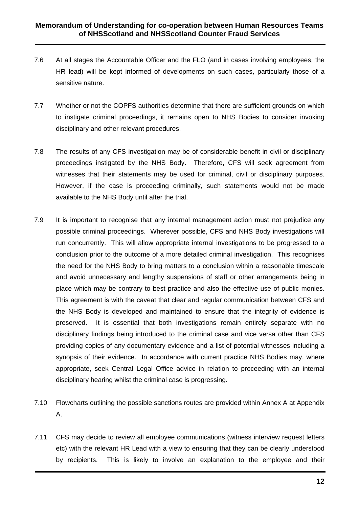- 7.6 At all stages the Accountable Officer and the FLO (and in cases involving employees, the HR lead) will be kept informed of developments on such cases, particularly those of a sensitive nature.
- 7.7 Whether or not the COPFS authorities determine that there are sufficient grounds on which to instigate criminal proceedings, it remains open to NHS Bodies to consider invoking disciplinary and other relevant procedures.
- 7.8 The results of any CFS investigation may be of considerable benefit in civil or disciplinary proceedings instigated by the NHS Body. Therefore, CFS will seek agreement from witnesses that their statements may be used for criminal, civil or disciplinary purposes. However, if the case is proceeding criminally, such statements would not be made available to the NHS Body until after the trial.
- 7.9 It is important to recognise that any internal management action must not prejudice any possible criminal proceedings. Wherever possible, CFS and NHS Body investigations will run concurrently. This will allow appropriate internal investigations to be progressed to a conclusion prior to the outcome of a more detailed criminal investigation. This recognises the need for the NHS Body to bring matters to a conclusion within a reasonable timescale and avoid unnecessary and lengthy suspensions of staff or other arrangements being in place which may be contrary to best practice and also the effective use of public monies. This agreement is with the caveat that clear and regular communication between CFS and the NHS Body is developed and maintained to ensure that the integrity of evidence is preserved. It is essential that both investigations remain entirely separate with no disciplinary findings being introduced to the criminal case and vice versa other than CFS providing copies of any documentary evidence and a list of potential witnesses including a synopsis of their evidence. In accordance with current practice NHS Bodies may, where appropriate, seek Central Legal Office advice in relation to proceeding with an internal disciplinary hearing whilst the criminal case is progressing.
- 7.10 Flowcharts outlining the possible sanctions routes are provided within Annex A at Appendix A.
- 7.11 CFS may decide to review all employee communications (witness interview request letters etc) with the relevant HR Lead with a view to ensuring that they can be clearly understood by recipients. This is likely to involve an explanation to the employee and their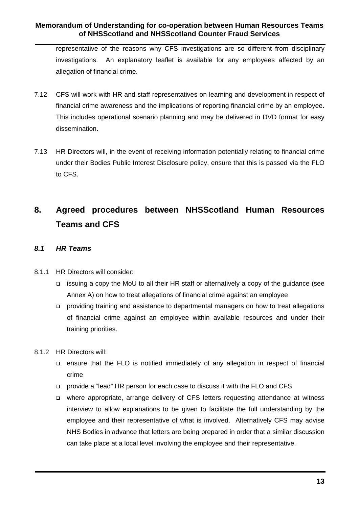representative of the reasons why CFS investigations are so different from disciplinary investigations. An explanatory leaflet is available for any employees affected by an allegation of financial crime.

- 7.12 CFS will work with HR and staff representatives on learning and development in respect of financial crime awareness and the implications of reporting financial crime by an employee. This includes operational scenario planning and may be delivered in DVD format for easy dissemination.
- 7.13 HR Directors will, in the event of receiving information potentially relating to financial crime under their Bodies Public Interest Disclosure policy, ensure that this is passed via the FLO to CFS.

# **8. Agreed procedures between NHSScotland Human Resources Teams and CFS**

#### *8.1 HR Teams*

- 8.1.1 HR Directors will consider:
	- issuing a copy the MoU to all their HR staff or alternatively a copy of the guidance (see Annex A) on how to treat allegations of financial crime against an employee
	- providing training and assistance to departmental managers on how to treat allegations of financial crime against an employee within available resources and under their training priorities.
- 8.1.2 HR Directors will:
	- ensure that the FLO is notified immediately of any allegation in respect of financial crime
	- provide a "lead" HR person for each case to discuss it with the FLO and CFS
	- where appropriate, arrange delivery of CFS letters requesting attendance at witness interview to allow explanations to be given to facilitate the full understanding by the employee and their representative of what is involved. Alternatively CFS may advise NHS Bodies in advance that letters are being prepared in order that a similar discussion can take place at a local level involving the employee and their representative.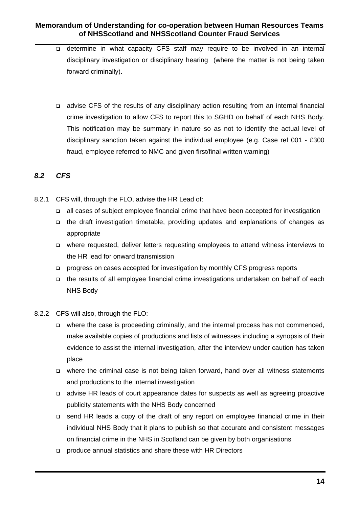- o determine in what capacity CFS staff may require to be involved in an internal disciplinary investigation or disciplinary hearing (where the matter is not being taken forward criminally).
- advise CFS of the results of any disciplinary action resulting from an internal financial crime investigation to allow CFS to report this to SGHD on behalf of each NHS Body. This notification may be summary in nature so as not to identify the actual level of disciplinary sanction taken against the individual employee (e.g. Case ref 001 - £300 fraud, employee referred to NMC and given first/final written warning)

#### *8.2 CFS*

- 8.2.1 CFS will, through the FLO, advise the HR Lead of:
	- all cases of subject employee financial crime that have been accepted for investigation
	- the draft investigation timetable, providing updates and explanations of changes as appropriate
	- where requested, deliver letters requesting employees to attend witness interviews to the HR lead for onward transmission
	- progress on cases accepted for investigation by monthly CFS progress reports
	- the results of all employee financial crime investigations undertaken on behalf of each NHS Body
- 8.2.2 CFS will also, through the FLO:
	- □ where the case is proceeding criminally, and the internal process has not commenced, make available copies of productions and lists of witnesses including a synopsis of their evidence to assist the internal investigation, after the interview under caution has taken place
	- where the criminal case is not being taken forward, hand over all witness statements and productions to the internal investigation
	- advise HR leads of court appearance dates for suspects as well as agreeing proactive publicity statements with the NHS Body concerned
	- □ send HR leads a copy of the draft of any report on employee financial crime in their individual NHS Body that it plans to publish so that accurate and consistent messages on financial crime in the NHS in Scotland can be given by both organisations
	- produce annual statistics and share these with HR Directors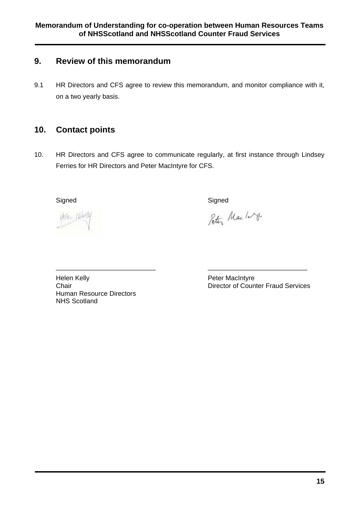# **9. Review of this memorandum**

9.1 HR Directors and CFS agree to review this memorandum, and monitor compliance with it, on a two yearly basis.

# **10. Contact points**

10. HR Directors and CFS agree to communicate regularly, at first instance through Lindsey Ferries for HR Directors and Peter MacIntyre for CFS.

\_\_\_\_\_\_\_\_\_\_\_\_\_\_\_\_\_\_\_\_\_\_\_\_\_\_\_ \_\_\_\_\_\_\_\_\_\_\_\_\_\_\_\_\_\_\_\_\_\_\_\_\_\_\_

Helen Hatty

Signed Signed Signed Signed Signed Signed Signed Signed Signed Signed Signed Signed Signed Signed Signed Signed

Peter Mac 10g

Helen Kelly **Peter MacIntyre** Human Resource Directors NHS Scotland

Chair Director of Counter Fraud Services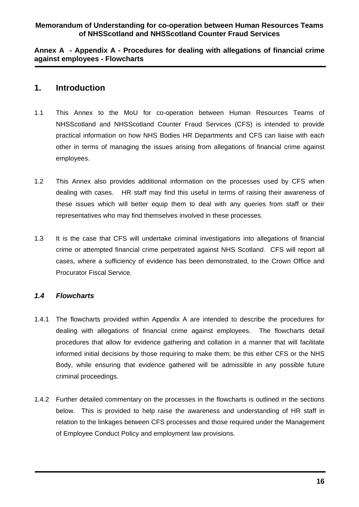**Annex A - Appendix A - Procedures for dealing with allegations of financial crime against employees - Flowcharts** 

### **1. Introduction**

- 1.1 This Annex to the MoU for co-operation between Human Resources Teams of NHSScotland and NHSScotland Counter Fraud Services (CFS) is intended to provide practical information on how NHS Bodies HR Departments and CFS can liaise with each other in terms of managing the issues arising from allegations of financial crime against employees.
- 1.2 This Annex also provides additional information on the processes used by CFS when dealing with cases. HR staff may find this useful in terms of raising their awareness of these issues which will better equip them to deal with any queries from staff or their representatives who may find themselves involved in these processes.
- 1.3 It is the case that CFS will undertake criminal investigations into allegations of financial crime or attempted financial crime perpetrated against NHS Scotland. CFS will report all cases, where a sufficiency of evidence has been demonstrated, to the Crown Office and Procurator Fiscal Service.

#### *1.4 Flowcharts*

- 1.4.1 The flowcharts provided within Appendix A are intended to describe the procedures for dealing with allegations of financial crime against employees. The flowcharts detail procedures that allow for evidence gathering and collation in a manner that will facilitate informed initial decisions by those requiring to make them; be this either CFS or the NHS Body, while ensuring that evidence gathered will be admissible in any possible future criminal proceedings.
- 1.4.2 Further detailed commentary on the processes in the flowcharts is outlined in the sections below. This is provided to help raise the awareness and understanding of HR staff in relation to the linkages between CFS processes and those required under the Management of Employee Conduct Policy and employment law provisions.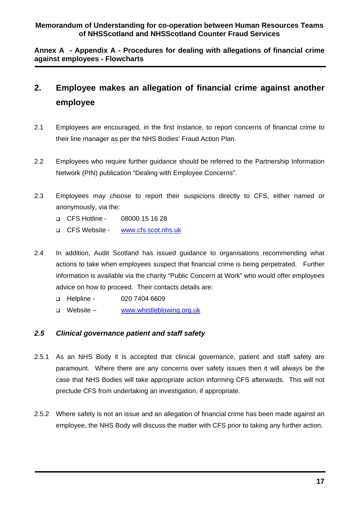**Annex A - Appendix A - Procedures for dealing with allegations of financial crime against employees - Flowcharts** 

# **2. Employee makes an allegation of financial crime against another employee**

- 2.1 Employees are encouraged, in the first instance, to report concerns of financial crime to their line manager as per the NHS Bodies' Fraud Action Plan.
- 2.2 Employees who require further guidance should be referred to the Partnership Information Network (PIN) publication "Dealing with Employee Concerns".
- 2.3 Employees may choose to report their suspicions directly to CFS, either named or anonymously, via the:
	- CFS Hotline 08000 15 16 28
	- □ CFS Website www.cfs.scot.nhs.uk
- 2.4 In addition, Audit Scotland has issued guidance to organisations recommending what actions to take when employees suspect that financial crime is being perpetrated. Further information is available via the charity "Public Concern at Work" who would offer employees advice on how to proceed. Their contacts details are:
	- □ Helpline 020 7404 6609
	- □ Website www.whistleblowing.org.uk

#### *2.5 Clinical governance patient and staff safety*

- 2.5.1 As an NHS Body it is accepted that clinical governance, patient and staff safety are paramount. Where there are any concerns over safety issues then it will always be the case that NHS Bodies will take appropriate action informing CFS afterwards. This will not preclude CFS from undertaking an investigation, if appropriate.
- 2.5.2 Where safety is not an issue and an allegation of financial crime has been made against an employee, the NHS Body will discuss the matter with CFS prior to taking any further action.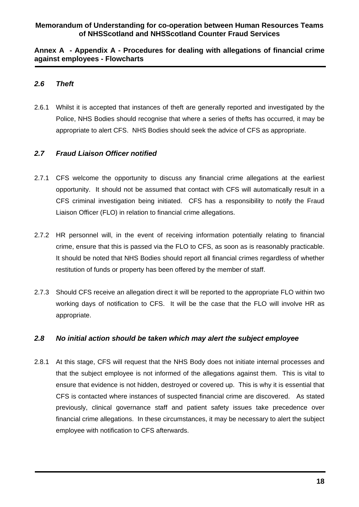#### **Annex A - Appendix A - Procedures for dealing with allegations of financial crime against employees - Flowcharts**

#### *2.6 Theft*

2.6.1 Whilst it is accepted that instances of theft are generally reported and investigated by the Police, NHS Bodies should recognise that where a series of thefts has occurred, it may be appropriate to alert CFS. NHS Bodies should seek the advice of CFS as appropriate.

#### *2.7 Fraud Liaison Officer notified*

- 2.7.1 CFS welcome the opportunity to discuss any financial crime allegations at the earliest opportunity. It should not be assumed that contact with CFS will automatically result in a CFS criminal investigation being initiated. CFS has a responsibility to notify the Fraud Liaison Officer (FLO) in relation to financial crime allegations.
- 2.7.2 HR personnel will, in the event of receiving information potentially relating to financial crime, ensure that this is passed via the FLO to CFS, as soon as is reasonably practicable. It should be noted that NHS Bodies should report all financial crimes regardless of whether restitution of funds or property has been offered by the member of staff.
- 2.7.3 Should CFS receive an allegation direct it will be reported to the appropriate FLO within two working days of notification to CFS. It will be the case that the FLO will involve HR as appropriate.

#### *2.8 No initial action should be taken which may alert the subject employee*

2.8.1 At this stage, CFS will request that the NHS Body does not initiate internal processes and that the subject employee is not informed of the allegations against them. This is vital to ensure that evidence is not hidden, destroyed or covered up. This is why it is essential that CFS is contacted where instances of suspected financial crime are discovered. As stated previously, clinical governance staff and patient safety issues take precedence over financial crime allegations. In these circumstances, it may be necessary to alert the subject employee with notification to CFS afterwards.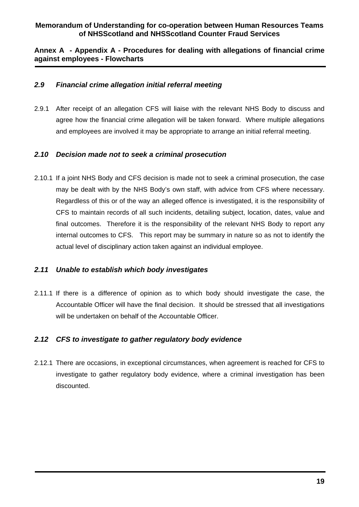#### **Annex A - Appendix A - Procedures for dealing with allegations of financial crime against employees - Flowcharts**

#### *2.9 Financial crime allegation initial referral meeting*

2.9.1 After receipt of an allegation CFS will liaise with the relevant NHS Body to discuss and agree how the financial crime allegation will be taken forward. Where multiple allegations and employees are involved it may be appropriate to arrange an initial referral meeting.

#### *2.10 Decision made not to seek a criminal prosecution*

2.10.1 If a joint NHS Body and CFS decision is made not to seek a criminal prosecution, the case may be dealt with by the NHS Body's own staff, with advice from CFS where necessary. Regardless of this or of the way an alleged offence is investigated, it is the responsibility of CFS to maintain records of all such incidents, detailing subject, location, dates, value and final outcomes. Therefore it is the responsibility of the relevant NHS Body to report any internal outcomes to CFS. This report may be summary in nature so as not to identify the actual level of disciplinary action taken against an individual employee.

#### *2.11 Unable to establish which body investigates*

2.11.1 If there is a difference of opinion as to which body should investigate the case, the Accountable Officer will have the final decision. It should be stressed that all investigations will be undertaken on behalf of the Accountable Officer.

#### *2.12 CFS to investigate to gather regulatory body evidence*

2.12.1 There are occasions, in exceptional circumstances, when agreement is reached for CFS to investigate to gather regulatory body evidence, where a criminal investigation has been discounted.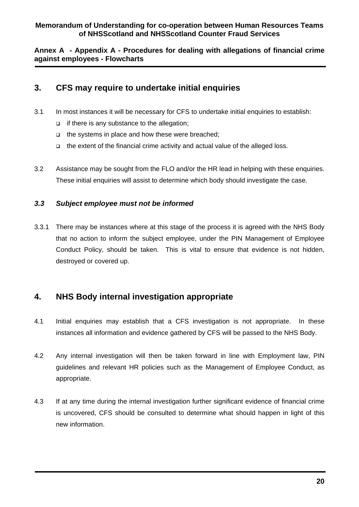**Annex A - Appendix A - Procedures for dealing with allegations of financial crime against employees - Flowcharts** 

## **3. CFS may require to undertake initial enquiries**

- 3.1 In most instances it will be necessary for CFS to undertake initial enquiries to establish:
	- $\Box$  if there is any substance to the allegation;
	- $\Box$  the systems in place and how these were breached;
	- $\Box$  the extent of the financial crime activity and actual value of the alleged loss.
- 3.2 Assistance may be sought from the FLO and/or the HR lead in helping with these enquiries. These initial enquiries will assist to determine which body should investigate the case.

#### *3.3 Subject employee must not be informed*

3.3.1 There may be instances where at this stage of the process it is agreed with the NHS Body that no action to inform the subject employee, under the PIN Management of Employee Conduct Policy, should be taken. This is vital to ensure that evidence is not hidden, destroyed or covered up.

# **4. NHS Body internal investigation appropriate**

- 4.1 Initial enquiries may establish that a CFS investigation is not appropriate. In these instances all information and evidence gathered by CFS will be passed to the NHS Body.
- 4.2 Any internal investigation will then be taken forward in line with Employment law, PIN guidelines and relevant HR policies such as the Management of Employee Conduct, as appropriate.
- 4.3 If at any time during the internal investigation further significant evidence of financial crime is uncovered, CFS should be consulted to determine what should happen in light of this new information.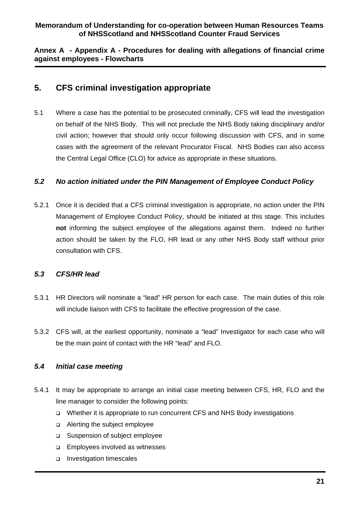#### **Annex A - Appendix A - Procedures for dealing with allegations of financial crime against employees - Flowcharts**

### **5. CFS criminal investigation appropriate**

5.1 Where a case has the potential to be prosecuted criminally, CFS will lead the investigation on behalf of the NHS Body. This will not preclude the NHS Body taking disciplinary and/or civil action; however that should only occur following discussion with CFS, and in some cases with the agreement of the relevant Procurator Fiscal. NHS Bodies can also access the Central Legal Office (CLO) for advice as appropriate in these situations.

#### *5.2 No action initiated under the PIN Management of Employee Conduct Policy*

5.2.1 Once it is decided that a CFS criminal investigation is appropriate, no action under the PIN Management of Employee Conduct Policy, should be initiated at this stage. This includes **not** informing the subject employee of the allegations against them. Indeed no further action should be taken by the FLO, HR lead or any other NHS Body staff without prior consultation with CFS.

#### *5.3 CFS/HR lead*

- 5.3.1 HR Directors will nominate a "lead" HR person for each case. The main duties of this role will include liaison with CFS to facilitate the effective progression of the case.
- 5.3.2 CFS will, at the earliest opportunity, nominate a "lead" Investigator for each case who will be the main point of contact with the HR "lead" and FLO.

#### *5.4 Initial case meeting*

- 5.4.1 It may be appropriate to arrange an initial case meeting between CFS, HR, FLO and the line manager to consider the following points:
	- Whether it is appropriate to run concurrent CFS and NHS Body investigations
	- Alerting the subject employee
	- □ Suspension of subject employee
	- □ Employees involved as witnesses
	- Investigation timescales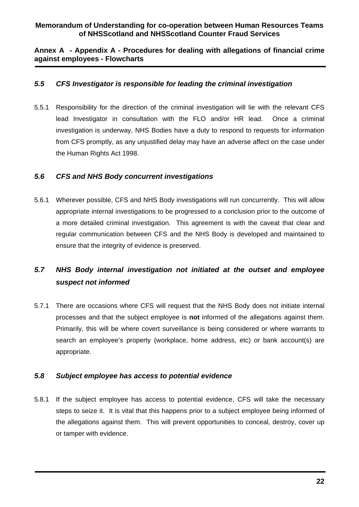**Annex A - Appendix A - Procedures for dealing with allegations of financial crime against employees - Flowcharts** 

#### *5.5 CFS Investigator is responsible for leading the criminal investigation*

5.5.1 Responsibility for the direction of the criminal investigation will lie with the relevant CFS lead Investigator in consultation with the FLO and/or HR lead. Once a criminal investigation is underway, NHS Bodies have a duty to respond to requests for information from CFS promptly, as any unjustified delay may have an adverse affect on the case under the Human Rights Act 1998.

#### *5.6 CFS and NHS Body concurrent investigations*

5.6.1 Wherever possible, CFS and NHS Body investigations will run concurrently. This will allow appropriate internal investigations to be progressed to a conclusion prior to the outcome of a more detailed criminal investigation. This agreement is with the caveat that clear and regular communication between CFS and the NHS Body is developed and maintained to ensure that the integrity of evidence is preserved.

# *5.7 NHS Body internal investigation not initiated at the outset and employee suspect not informed*

5.7.1 There are occasions where CFS will request that the NHS Body does not initiate internal processes and that the subject employee is **not** informed of the allegations against them. Primarily, this will be where covert surveillance is being considered or where warrants to search an employee's property (workplace, home address, etc) or bank account(s) are appropriate.

#### *5.8 Subject employee has access to potential evidence*

5.8.1 If the subject employee has access to potential evidence, CFS will take the necessary steps to seize it. It is vital that this happens prior to a subject employee being informed of the allegations against them. This will prevent opportunities to conceal, destroy, cover up or tamper with evidence.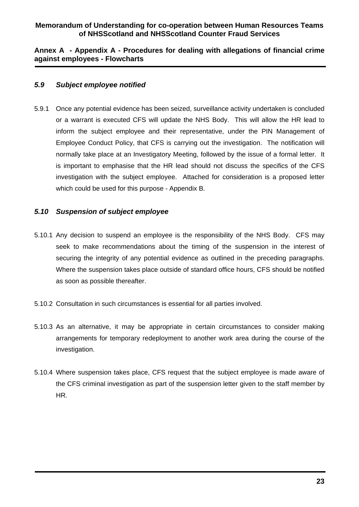#### **Annex A - Appendix A - Procedures for dealing with allegations of financial crime against employees - Flowcharts**

#### *5.9 Subject employee notified*

5.9.1 Once any potential evidence has been seized, surveillance activity undertaken is concluded or a warrant is executed CFS will update the NHS Body. This will allow the HR lead to inform the subject employee and their representative, under the PIN Management of Employee Conduct Policy, that CFS is carrying out the investigation. The notification will normally take place at an Investigatory Meeting, followed by the issue of a formal letter. It is important to emphasise that the HR lead should not discuss the specifics of the CFS investigation with the subject employee. Attached for consideration is a proposed letter which could be used for this purpose - Appendix B.

#### *5.10 Suspension of subject employee*

- 5.10.1 Any decision to suspend an employee is the responsibility of the NHS Body. CFS may seek to make recommendations about the timing of the suspension in the interest of securing the integrity of any potential evidence as outlined in the preceding paragraphs. Where the suspension takes place outside of standard office hours, CFS should be notified as soon as possible thereafter.
- 5.10.2 Consultation in such circumstances is essential for all parties involved.
- 5.10.3 As an alternative, it may be appropriate in certain circumstances to consider making arrangements for temporary redeployment to another work area during the course of the investigation.
- 5.10.4 Where suspension takes place, CFS request that the subject employee is made aware of the CFS criminal investigation as part of the suspension letter given to the staff member by HR.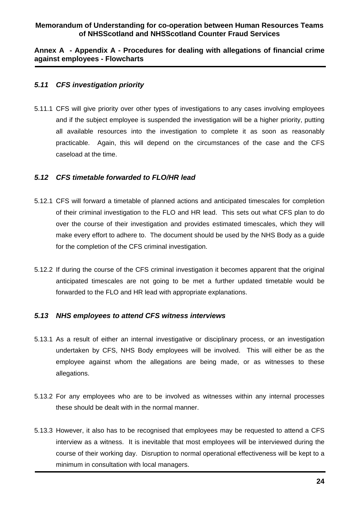#### **Annex A - Appendix A - Procedures for dealing with allegations of financial crime against employees - Flowcharts**

#### *5.11 CFS investigation priority*

5.11.1 CFS will give priority over other types of investigations to any cases involving employees and if the subject employee is suspended the investigation will be a higher priority, putting all available resources into the investigation to complete it as soon as reasonably practicable. Again, this will depend on the circumstances of the case and the CFS caseload at the time.

#### *5.12 CFS timetable forwarded to FLO/HR lead*

- 5.12.1 CFS will forward a timetable of planned actions and anticipated timescales for completion of their criminal investigation to the FLO and HR lead. This sets out what CFS plan to do over the course of their investigation and provides estimated timescales, which they will make every effort to adhere to. The document should be used by the NHS Body as a guide for the completion of the CFS criminal investigation.
- 5.12.2 If during the course of the CFS criminal investigation it becomes apparent that the original anticipated timescales are not going to be met a further updated timetable would be forwarded to the FLO and HR lead with appropriate explanations.

#### *5.13 NHS employees to attend CFS witness interviews*

- 5.13.1 As a result of either an internal investigative or disciplinary process, or an investigation undertaken by CFS, NHS Body employees will be involved. This will either be as the employee against whom the allegations are being made, or as witnesses to these allegations.
- 5.13.2 For any employees who are to be involved as witnesses within any internal processes these should be dealt with in the normal manner.
- 5.13.3 However, it also has to be recognised that employees may be requested to attend a CFS interview as a witness. It is inevitable that most employees will be interviewed during the course of their working day. Disruption to normal operational effectiveness will be kept to a minimum in consultation with local managers.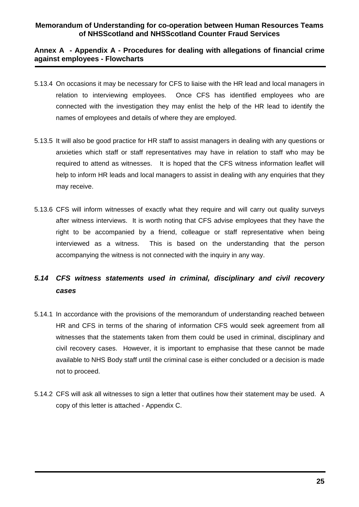#### **Annex A - Appendix A - Procedures for dealing with allegations of financial crime against employees - Flowcharts**

- 5.13.4 On occasions it may be necessary for CFS to liaise with the HR lead and local managers in relation to interviewing employees. Once CFS has identified employees who are connected with the investigation they may enlist the help of the HR lead to identify the names of employees and details of where they are employed.
- 5.13.5 It will also be good practice for HR staff to assist managers in dealing with any questions or anxieties which staff or staff representatives may have in relation to staff who may be required to attend as witnesses. It is hoped that the CFS witness information leaflet will help to inform HR leads and local managers to assist in dealing with any enquiries that they may receive.
- 5.13.6 CFS will inform witnesses of exactly what they require and will carry out quality surveys after witness interviews. It is worth noting that CFS advise employees that they have the right to be accompanied by a friend, colleague or staff representative when being interviewed as a witness. This is based on the understanding that the person accompanying the witness is not connected with the inquiry in any way.

# *5.14 CFS witness statements used in criminal, disciplinary and civil recovery cases*

- 5.14.1 In accordance with the provisions of the memorandum of understanding reached between HR and CFS in terms of the sharing of information CFS would seek agreement from all witnesses that the statements taken from them could be used in criminal, disciplinary and civil recovery cases. However, it is important to emphasise that these cannot be made available to NHS Body staff until the criminal case is either concluded or a decision is made not to proceed.
- 5.14.2 CFS will ask all witnesses to sign a letter that outlines how their statement may be used. A copy of this letter is attached - Appendix C.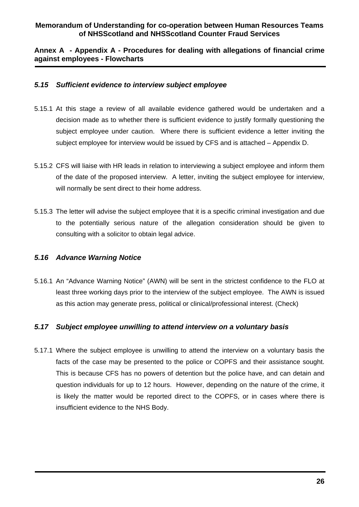#### **Annex A - Appendix A - Procedures for dealing with allegations of financial crime against employees - Flowcharts**

#### *5.15 Sufficient evidence to interview subject employee*

- 5.15.1 At this stage a review of all available evidence gathered would be undertaken and a decision made as to whether there is sufficient evidence to justify formally questioning the subject employee under caution. Where there is sufficient evidence a letter inviting the subject employee for interview would be issued by CFS and is attached – Appendix D.
- 5.15.2 CFS will liaise with HR leads in relation to interviewing a subject employee and inform them of the date of the proposed interview. A letter, inviting the subject employee for interview, will normally be sent direct to their home address.
- 5.15.3 The letter will advise the subject employee that it is a specific criminal investigation and due to the potentially serious nature of the allegation consideration should be given to consulting with a solicitor to obtain legal advice.

#### *5.16 Advance Warning Notice*

5.16.1 An "Advance Warning Notice" (AWN) will be sent in the strictest confidence to the FLO at least three working days prior to the interview of the subject employee. The AWN is issued as this action may generate press, political or clinical/professional interest. (Check)

#### *5.17 Subject employee unwilling to attend interview on a voluntary basis*

5.17.1 Where the subject employee is unwilling to attend the interview on a voluntary basis the facts of the case may be presented to the police or COPFS and their assistance sought. This is because CFS has no powers of detention but the police have, and can detain and question individuals for up to 12 hours. However, depending on the nature of the crime, it is likely the matter would be reported direct to the COPFS, or in cases where there is insufficient evidence to the NHS Body.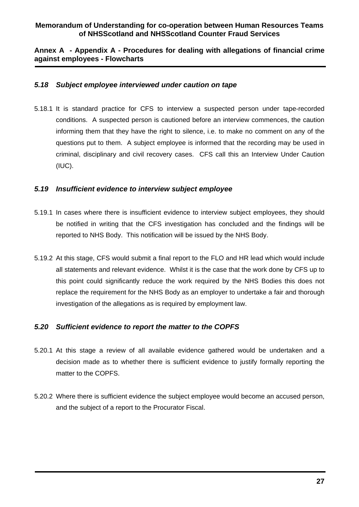#### **Annex A - Appendix A - Procedures for dealing with allegations of financial crime against employees - Flowcharts**

#### *5.18 Subject employee interviewed under caution on tape*

5.18.1 It is standard practice for CFS to interview a suspected person under tape-recorded conditions. A suspected person is cautioned before an interview commences, the caution informing them that they have the right to silence, i.e. to make no comment on any of the questions put to them. A subject employee is informed that the recording may be used in criminal, disciplinary and civil recovery cases. CFS call this an Interview Under Caution (IUC).

#### *5.19 Insufficient evidence to interview subject employee*

- 5.19.1 In cases where there is insufficient evidence to interview subject employees, they should be notified in writing that the CFS investigation has concluded and the findings will be reported to NHS Body. This notification will be issued by the NHS Body.
- 5.19.2 At this stage, CFS would submit a final report to the FLO and HR lead which would include all statements and relevant evidence. Whilst it is the case that the work done by CFS up to this point could significantly reduce the work required by the NHS Bodies this does not replace the requirement for the NHS Body as an employer to undertake a fair and thorough investigation of the allegations as is required by employment law.

#### *5.20 Sufficient evidence to report the matter to the COPFS*

- 5.20.1 At this stage a review of all available evidence gathered would be undertaken and a decision made as to whether there is sufficient evidence to justify formally reporting the matter to the COPFS.
- 5.20.2 Where there is sufficient evidence the subject employee would become an accused person, and the subject of a report to the Procurator Fiscal.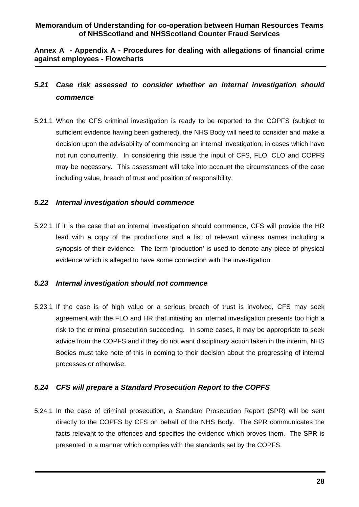**Annex A - Appendix A - Procedures for dealing with allegations of financial crime against employees - Flowcharts** 

# *5.21 Case risk assessed to consider whether an internal investigation should commence*

5.21.1 When the CFS criminal investigation is ready to be reported to the COPFS (subject to sufficient evidence having been gathered), the NHS Body will need to consider and make a decision upon the advisability of commencing an internal investigation, in cases which have not run concurrently. In considering this issue the input of CFS, FLO, CLO and COPFS may be necessary. This assessment will take into account the circumstances of the case including value, breach of trust and position of responsibility.

#### *5.22 Internal investigation should commence*

5.22.1 If it is the case that an internal investigation should commence, CFS will provide the HR lead with a copy of the productions and a list of relevant witness names including a synopsis of their evidence. The term 'production' is used to denote any piece of physical evidence which is alleged to have some connection with the investigation.

#### *5.23 Internal investigation should not commence*

5.23.1 If the case is of high value or a serious breach of trust is involved, CFS may seek agreement with the FLO and HR that initiating an internal investigation presents too high a risk to the criminal prosecution succeeding. In some cases, it may be appropriate to seek advice from the COPFS and if they do not want disciplinary action taken in the interim, NHS Bodies must take note of this in coming to their decision about the progressing of internal processes or otherwise.

#### *5.24 CFS will prepare a Standard Prosecution Report to the COPFS*

5.24.1 In the case of criminal prosecution, a Standard Prosecution Report (SPR) will be sent directly to the COPFS by CFS on behalf of the NHS Body. The SPR communicates the facts relevant to the offences and specifies the evidence which proves them. The SPR is presented in a manner which complies with the standards set by the COPFS.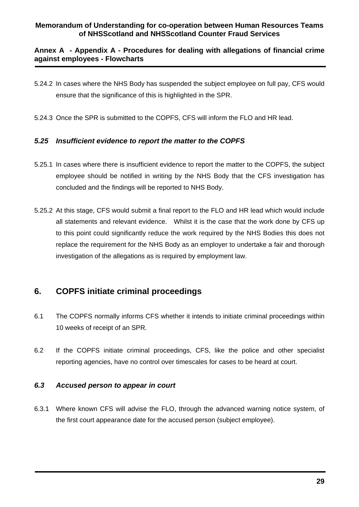#### **Annex A - Appendix A - Procedures for dealing with allegations of financial crime against employees - Flowcharts**

- 5.24.2 In cases where the NHS Body has suspended the subject employee on full pay, CFS would ensure that the significance of this is highlighted in the SPR.
- 5.24.3 Once the SPR is submitted to the COPFS, CFS will inform the FLO and HR lead.

#### *5.25 Insufficient evidence to report the matter to the COPFS*

- 5.25.1 In cases where there is insufficient evidence to report the matter to the COPFS, the subject employee should be notified in writing by the NHS Body that the CFS investigation has concluded and the findings will be reported to NHS Body.
- 5.25.2 At this stage, CFS would submit a final report to the FLO and HR lead which would include all statements and relevant evidence. Whilst it is the case that the work done by CFS up to this point could significantly reduce the work required by the NHS Bodies this does not replace the requirement for the NHS Body as an employer to undertake a fair and thorough investigation of the allegations as is required by employment law.

# **6. COPFS initiate criminal proceedings**

- 6.1 The COPFS normally informs CFS whether it intends to initiate criminal proceedings within 10 weeks of receipt of an SPR.
- 6.2 If the COPFS initiate criminal proceedings, CFS, like the police and other specialist reporting agencies, have no control over timescales for cases to be heard at court.

#### *6.3 Accused person to appear in court*

6.3.1 Where known CFS will advise the FLO, through the advanced warning notice system, of the first court appearance date for the accused person (subject employee).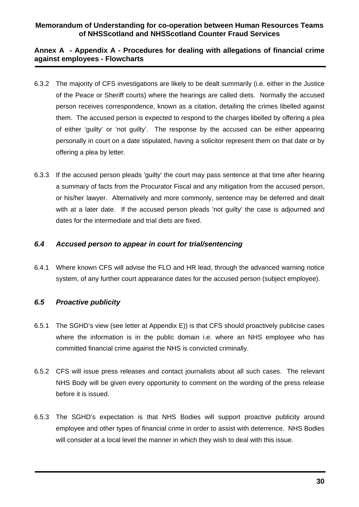#### **Annex A - Appendix A - Procedures for dealing with allegations of financial crime against employees - Flowcharts**

- 6.3.2 The majority of CFS investigations are likely to be dealt summarily (i.e. either in the Justice of the Peace or Sheriff courts) where the hearings are called diets. Normally the accused person receives correspondence, known as a citation, detailing the crimes libelled against them. The accused person is expected to respond to the charges libelled by offering a plea of either 'guilty' or 'not guilty'. The response by the accused can be either appearing personally in court on a date stipulated, having a solicitor represent them on that date or by offering a plea by letter.
- 6.3.3 If the accused person pleads 'guilty' the court may pass sentence at that time after hearing a summary of facts from the Procurator Fiscal and any mitigation from the accused person, or his/her lawyer. Alternatively and more commonly, sentence may be deferred and dealt with at a later date. If the accused person pleads 'not guilty' the case is adjourned and dates for the intermediate and trial diets are fixed.

#### *6.4 Accused person to appear in court for trial/sentencing*

6.4.1 Where known CFS will advise the FLO and HR lead, through the advanced warning notice system, of any further court appearance dates for the accused person (subject employee).

#### *6.5 Proactive publicity*

- 6.5.1 The SGHD's view (see letter at Appendix E)) is that CFS should proactively publicise cases where the information is in the public domain i.e. where an NHS employee who has committed financial crime against the NHS is convicted criminally.
- 6.5.2 CFS will issue press releases and contact journalists about all such cases. The relevant NHS Body will be given every opportunity to comment on the wording of the press release before it is issued.
- 6.5.3 The SGHD's expectation is that NHS Bodies will support proactive publicity around employee and other types of financial crime in order to assist with deterrence. NHS Bodies will consider at a local level the manner in which they wish to deal with this issue.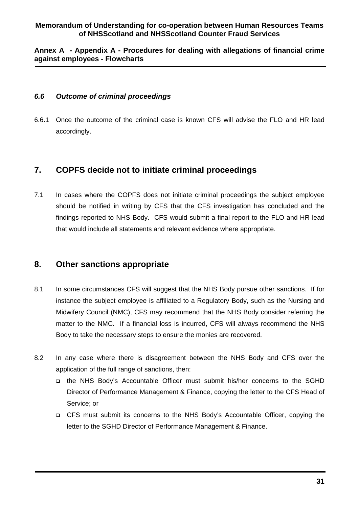#### **Annex A - Appendix A - Procedures for dealing with allegations of financial crime against employees - Flowcharts**

#### *6.6 Outcome of criminal proceedings*

6.6.1 Once the outcome of the criminal case is known CFS will advise the FLO and HR lead accordingly.

## **7. COPFS decide not to initiate criminal proceedings**

7.1 In cases where the COPFS does not initiate criminal proceedings the subject employee should be notified in writing by CFS that the CFS investigation has concluded and the findings reported to NHS Body. CFS would submit a final report to the FLO and HR lead that would include all statements and relevant evidence where appropriate.

# **8. Other sanctions appropriate**

- 8.1 In some circumstances CFS will suggest that the NHS Body pursue other sanctions. If for instance the subject employee is affiliated to a Regulatory Body, such as the Nursing and Midwifery Council (NMC), CFS may recommend that the NHS Body consider referring the matter to the NMC. If a financial loss is incurred, CFS will always recommend the NHS Body to take the necessary steps to ensure the monies are recovered.
- 8.2 In any case where there is disagreement between the NHS Body and CFS over the application of the full range of sanctions, then:
	- the NHS Body's Accountable Officer must submit his/her concerns to the SGHD Director of Performance Management & Finance, copying the letter to the CFS Head of Service; or
	- CFS must submit its concerns to the NHS Body's Accountable Officer, copying the letter to the SGHD Director of Performance Management & Finance.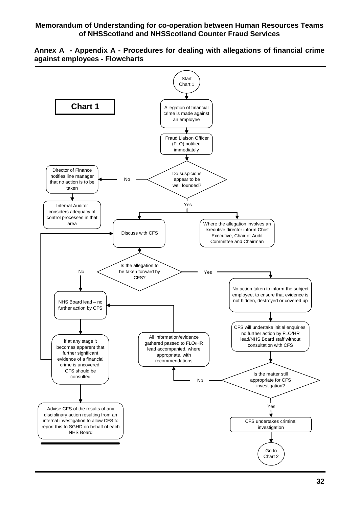

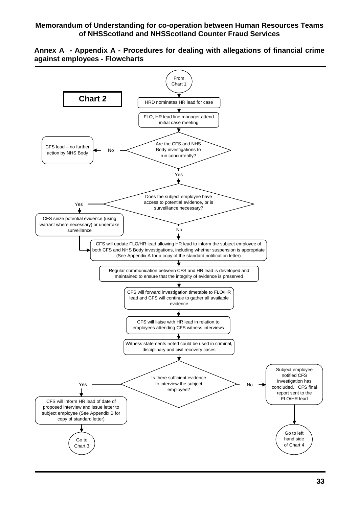**Annex A - Appendix A - Procedures for dealing with allegations of financial crime against employees - Flowcharts** 

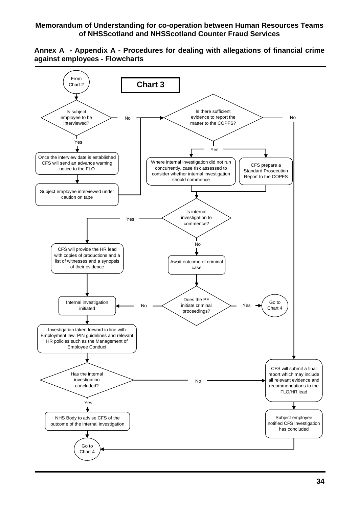

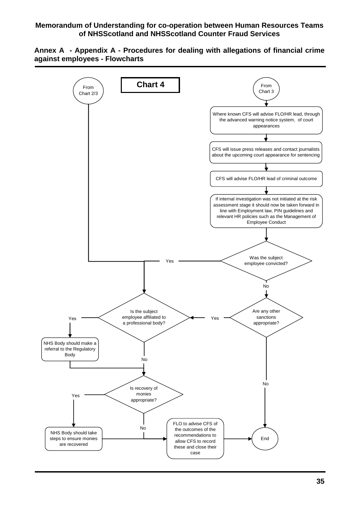

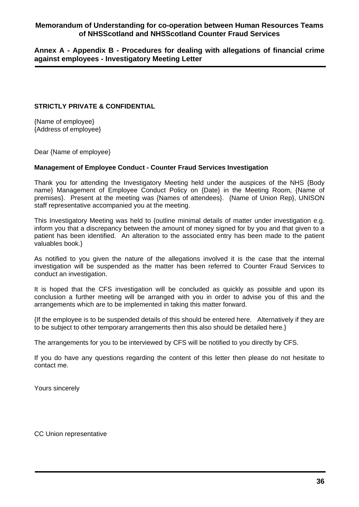**Annex A - Appendix B - Procedures for dealing with allegations of financial crime against employees - Investigatory Meeting Letter** 

#### **STRICTLY PRIVATE & CONFIDENTIAL**

{Name of employee} {Address of employee}

Dear {Name of employee}

#### **Management of Employee Conduct - Counter Fraud Services Investigation**

Thank you for attending the Investigatory Meeting held under the auspices of the NHS {Body name} Management of Employee Conduct Policy on {Date} in the Meeting Room, {Name of premises}. Present at the meeting was {Names of attendees}. {Name of Union Rep}, UNISON staff representative accompanied you at the meeting.

This Investigatory Meeting was held to {outline minimal details of matter under investigation e.g. inform you that a discrepancy between the amount of money signed for by you and that given to a patient has been identified. An alteration to the associated entry has been made to the patient valuables book.}

As notified to you given the nature of the allegations involved it is the case that the internal investigation will be suspended as the matter has been referred to Counter Fraud Services to conduct an investigation.

It is hoped that the CFS investigation will be concluded as quickly as possible and upon its conclusion a further meeting will be arranged with you in order to advise you of this and the arrangements which are to be implemented in taking this matter forward.

{If the employee is to be suspended details of this should be entered here. Alternatively if they are to be subject to other temporary arrangements then this also should be detailed here.}

The arrangements for you to be interviewed by CFS will be notified to you directly by CFS.

If you do have any questions regarding the content of this letter then please do not hesitate to contact me.

Yours sincerely

CC Union representative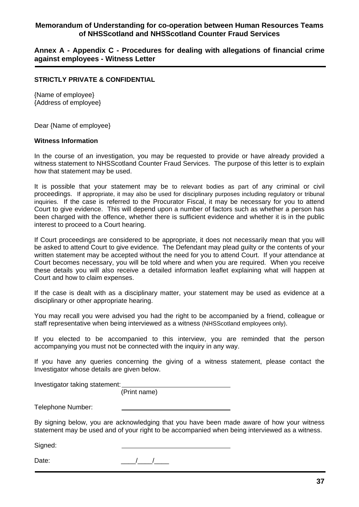**Annex A - Appendix C - Procedures for dealing with allegations of financial crime against employees - Witness Letter** 

#### **STRICTLY PRIVATE & CONFIDENTIAL**

{Name of employee} {Address of employee}

Dear {Name of employee}

#### **Witness Information**

In the course of an investigation, you may be requested to provide or have already provided a witness statement to NHSScotland Counter Fraud Services. The purpose of this letter is to explain how that statement may be used.

It is possible that your statement may be to relevant bodies as part of any criminal or civil proceedings. If appropriate, it may also be used for disciplinary purposes including regulatory or tribunal inquiries. If the case is referred to the Procurator Fiscal, it may be necessary for you to attend Court to give evidence. This will depend upon a number of factors such as whether a person has been charged with the offence, whether there is sufficient evidence and whether it is in the public interest to proceed to a Court hearing.

If Court proceedings are considered to be appropriate, it does not necessarily mean that you will be asked to attend Court to give evidence. The Defendant may plead guilty or the contents of your written statement may be accepted without the need for you to attend Court. If your attendance at Court becomes necessary, you will be told where and when you are required. When you receive these details you will also receive a detailed information leaflet explaining what will happen at Court and how to claim expenses.

If the case is dealt with as a disciplinary matter, your statement may be used as evidence at a disciplinary or other appropriate hearing.

You may recall you were advised you had the right to be accompanied by a friend, colleague or staff representative when being interviewed as a witness (NHSScotland employees only).

If you elected to be accompanied to this interview, you are reminded that the person accompanying you must not be connected with the inquiry in any way.

If you have any queries concerning the giving of a witness statement, please contact the Investigator whose details are given below.

Investigator taking statement:

(Print name)

Telephone Number:

By signing below, you are acknowledging that you have been made aware of how your witness statement may be used and of your right to be accompanied when being interviewed as a witness.

Signed:

Date:  $\frac{1}{2}$  Date: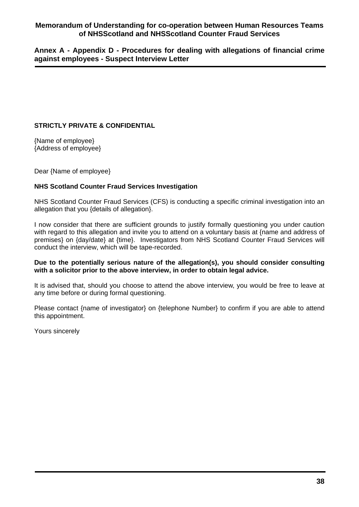**Annex A - Appendix D - Procedures for dealing with allegations of financial crime against employees - Suspect Interview Letter** 

#### **STRICTLY PRIVATE & CONFIDENTIAL**

{Name of employee} {Address of employee}

Dear {Name of employee}

#### **NHS Scotland Counter Fraud Services Investigation**

NHS Scotland Counter Fraud Services (CFS) is conducting a specific criminal investigation into an allegation that you {details of allegation}.

I now consider that there are sufficient grounds to justify formally questioning you under caution with regard to this allegation and invite you to attend on a voluntary basis at {name and address of premises} on {day/date} at {time}. Investigators from NHS Scotland Counter Fraud Services will conduct the interview, which will be tape-recorded.

#### **Due to the potentially serious nature of the allegation(s), you should consider consulting with a solicitor prior to the above interview, in order to obtain legal advice.**

It is advised that, should you choose to attend the above interview, you would be free to leave at any time before or during formal questioning.

Please contact {name of investigator} on {telephone Number} to confirm if you are able to attend this appointment.

Yours sincerely